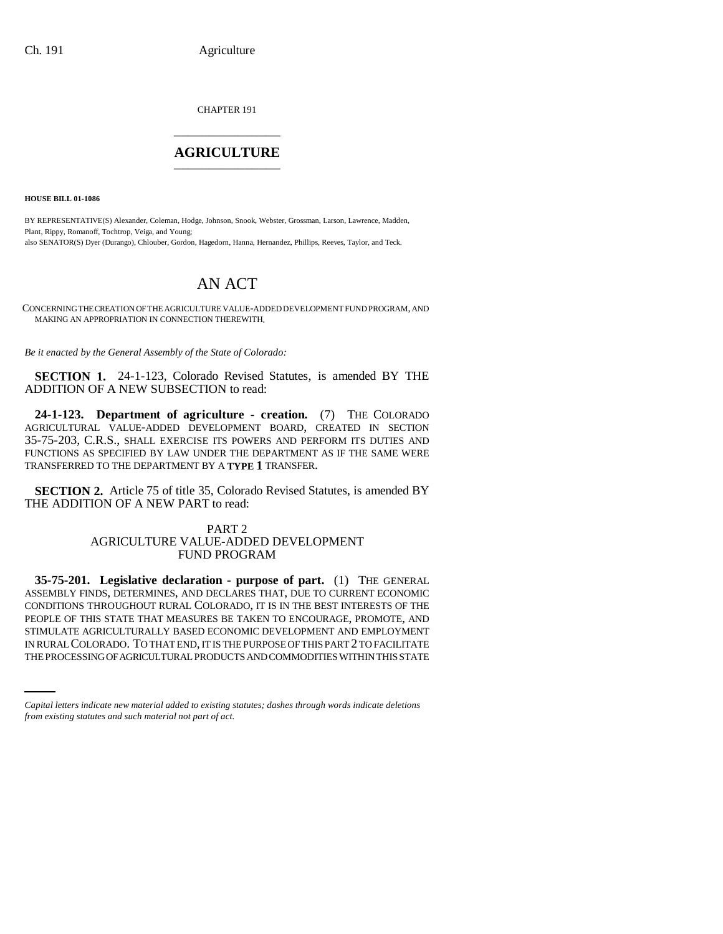CHAPTER 191 \_\_\_\_\_\_\_\_\_\_\_\_\_\_\_

# **AGRICULTURE** \_\_\_\_\_\_\_\_\_\_\_\_\_\_\_

**HOUSE BILL 01-1086**

BY REPRESENTATIVE(S) Alexander, Coleman, Hodge, Johnson, Snook, Webster, Grossman, Larson, Lawrence, Madden, Plant, Rippy, Romanoff, Tochtrop, Veiga, and Young; also SENATOR(S) Dyer (Durango), Chlouber, Gordon, Hagedorn, Hanna, Hernandez, Phillips, Reeves, Taylor, and Teck.

# AN ACT

CONCERNING THE CREATION OF THE AGRICULTURE VALUE-ADDED DEVELOPMENT FUND PROGRAM, AND MAKING AN APPROPRIATION IN CONNECTION THEREWITH.

*Be it enacted by the General Assembly of the State of Colorado:*

**SECTION 1.** 24-1-123, Colorado Revised Statutes, is amended BY THE ADDITION OF A NEW SUBSECTION to read:

**24-1-123. Department of agriculture - creation.** (7) THE COLORADO AGRICULTURAL VALUE-ADDED DEVELOPMENT BOARD, CREATED IN SECTION 35-75-203, C.R.S., SHALL EXERCISE ITS POWERS AND PERFORM ITS DUTIES AND FUNCTIONS AS SPECIFIED BY LAW UNDER THE DEPARTMENT AS IF THE SAME WERE TRANSFERRED TO THE DEPARTMENT BY A **TYPE 1** TRANSFER.

**SECTION 2.** Article 75 of title 35, Colorado Revised Statutes, is amended BY THE ADDITION OF A NEW PART to read:

# PART 2 AGRICULTURE VALUE-ADDED DEVELOPMENT FUND PROGRAM

STIMULATE AGRICULTURALLY BASED ECONOMIC DEVELOPMENT AND EMPLOYMENT **35-75-201. Legislative declaration - purpose of part.** (1) THE GENERAL ASSEMBLY FINDS, DETERMINES, AND DECLARES THAT, DUE TO CURRENT ECONOMIC CONDITIONS THROUGHOUT RURAL COLORADO, IT IS IN THE BEST INTERESTS OF THE PEOPLE OF THIS STATE THAT MEASURES BE TAKEN TO ENCOURAGE, PROMOTE, AND IN RURAL COLORADO. TO THAT END, IT IS THE PURPOSE OF THIS PART 2 TO FACILITATE THE PROCESSING OF AGRICULTURAL PRODUCTS AND COMMODITIES WITHIN THIS STATE

*Capital letters indicate new material added to existing statutes; dashes through words indicate deletions from existing statutes and such material not part of act.*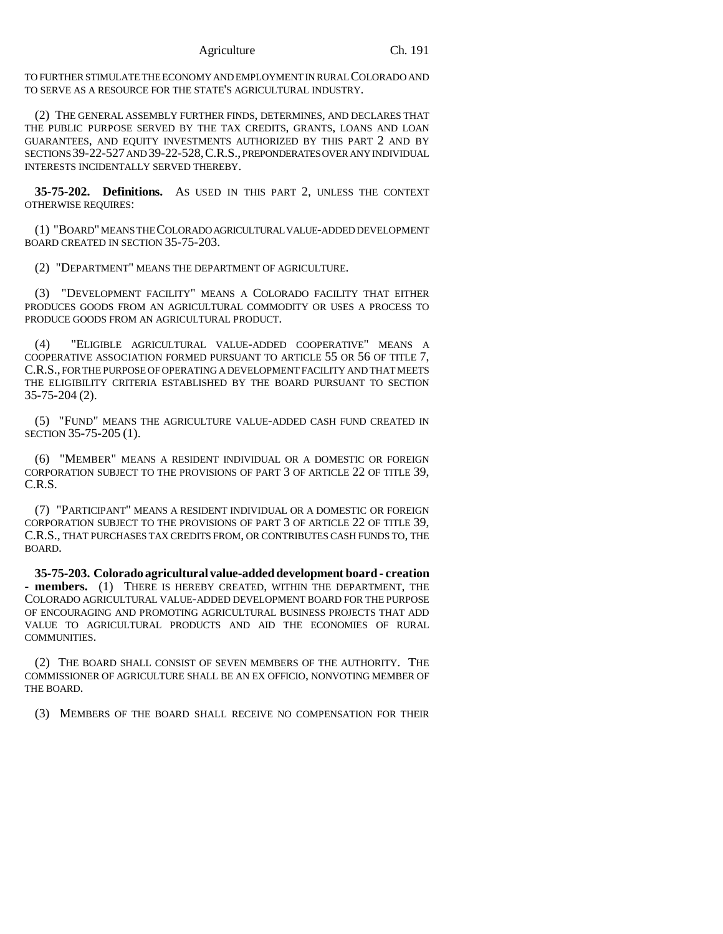### Agriculture Ch. 191

TO FURTHER STIMULATE THE ECONOMY AND EMPLOYMENT IN RURAL COLORADO AND TO SERVE AS A RESOURCE FOR THE STATE'S AGRICULTURAL INDUSTRY.

(2) THE GENERAL ASSEMBLY FURTHER FINDS, DETERMINES, AND DECLARES THAT THE PUBLIC PURPOSE SERVED BY THE TAX CREDITS, GRANTS, LOANS AND LOAN GUARANTEES, AND EQUITY INVESTMENTS AUTHORIZED BY THIS PART 2 AND BY SECTIONS 39-22-527 AND 39-22-528,C.R.S., PREPONDERATES OVER ANY INDIVIDUAL INTERESTS INCIDENTALLY SERVED THEREBY.

**35-75-202. Definitions.** AS USED IN THIS PART 2, UNLESS THE CONTEXT OTHERWISE REQUIRES:

(1) "BOARD" MEANS THE COLORADO AGRICULTURAL VALUE-ADDED DEVELOPMENT BOARD CREATED IN SECTION 35-75-203.

(2) "DEPARTMENT" MEANS THE DEPARTMENT OF AGRICULTURE.

(3) "DEVELOPMENT FACILITY" MEANS A COLORADO FACILITY THAT EITHER PRODUCES GOODS FROM AN AGRICULTURAL COMMODITY OR USES A PROCESS TO PRODUCE GOODS FROM AN AGRICULTURAL PRODUCT.

(4) "ELIGIBLE AGRICULTURAL VALUE-ADDED COOPERATIVE" MEANS A COOPERATIVE ASSOCIATION FORMED PURSUANT TO ARTICLE 55 OR 56 OF TITLE 7, C.R.S., FOR THE PURPOSE OF OPERATING A DEVELOPMENT FACILITY AND THAT MEETS THE ELIGIBILITY CRITERIA ESTABLISHED BY THE BOARD PURSUANT TO SECTION 35-75-204 (2).

(5) "FUND" MEANS THE AGRICULTURE VALUE-ADDED CASH FUND CREATED IN SECTION 35-75-205 (1).

(6) "MEMBER" MEANS A RESIDENT INDIVIDUAL OR A DOMESTIC OR FOREIGN CORPORATION SUBJECT TO THE PROVISIONS OF PART 3 OF ARTICLE 22 OF TITLE 39, C.R.S.

(7) "PARTICIPANT" MEANS A RESIDENT INDIVIDUAL OR A DOMESTIC OR FOREIGN CORPORATION SUBJECT TO THE PROVISIONS OF PART 3 OF ARTICLE 22 OF TITLE 39, C.R.S., THAT PURCHASES TAX CREDITS FROM, OR CONTRIBUTES CASH FUNDS TO, THE BOARD.

**35-75-203. Colorado agricultural value-added development board - creation - members.** (1) THERE IS HEREBY CREATED, WITHIN THE DEPARTMENT, THE COLORADO AGRICULTURAL VALUE-ADDED DEVELOPMENT BOARD FOR THE PURPOSE OF ENCOURAGING AND PROMOTING AGRICULTURAL BUSINESS PROJECTS THAT ADD VALUE TO AGRICULTURAL PRODUCTS AND AID THE ECONOMIES OF RURAL COMMUNITIES.

(2) THE BOARD SHALL CONSIST OF SEVEN MEMBERS OF THE AUTHORITY. THE COMMISSIONER OF AGRICULTURE SHALL BE AN EX OFFICIO, NONVOTING MEMBER OF THE BOARD.

(3) MEMBERS OF THE BOARD SHALL RECEIVE NO COMPENSATION FOR THEIR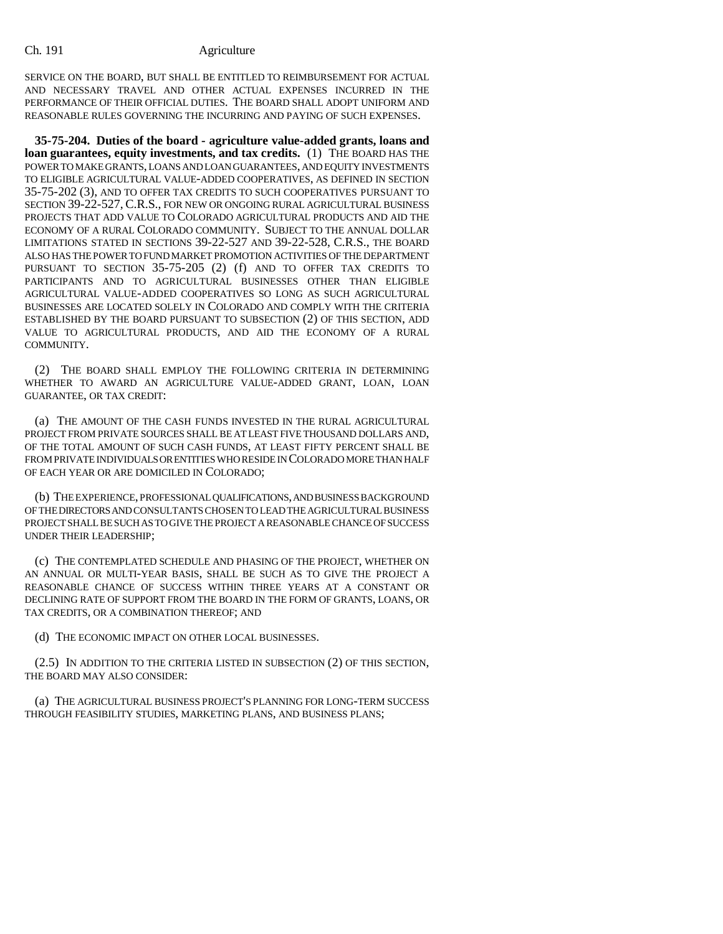SERVICE ON THE BOARD, BUT SHALL BE ENTITLED TO REIMBURSEMENT FOR ACTUAL AND NECESSARY TRAVEL AND OTHER ACTUAL EXPENSES INCURRED IN THE PERFORMANCE OF THEIR OFFICIAL DUTIES. THE BOARD SHALL ADOPT UNIFORM AND REASONABLE RULES GOVERNING THE INCURRING AND PAYING OF SUCH EXPENSES.

**35-75-204. Duties of the board - agriculture value-added grants, loans and loan guarantees, equity investments, and tax credits.** (1) THE BOARD HAS THE POWER TO MAKE GRANTS, LOANS AND LOAN GUARANTEES, AND EQUITY INVESTMENTS TO ELIGIBLE AGRICULTURAL VALUE-ADDED COOPERATIVES, AS DEFINED IN SECTION 35-75-202 (3), AND TO OFFER TAX CREDITS TO SUCH COOPERATIVES PURSUANT TO SECTION 39-22-527, C.R.S., FOR NEW OR ONGOING RURAL AGRICULTURAL BUSINESS PROJECTS THAT ADD VALUE TO COLORADO AGRICULTURAL PRODUCTS AND AID THE ECONOMY OF A RURAL COLORADO COMMUNITY. SUBJECT TO THE ANNUAL DOLLAR LIMITATIONS STATED IN SECTIONS 39-22-527 AND 39-22-528, C.R.S., THE BOARD ALSO HAS THE POWER TO FUND MARKET PROMOTION ACTIVITIES OF THE DEPARTMENT PURSUANT TO SECTION 35-75-205 (2) (f) AND TO OFFER TAX CREDITS TO PARTICIPANTS AND TO AGRICULTURAL BUSINESSES OTHER THAN ELIGIBLE AGRICULTURAL VALUE-ADDED COOPERATIVES SO LONG AS SUCH AGRICULTURAL BUSINESSES ARE LOCATED SOLELY IN COLORADO AND COMPLY WITH THE CRITERIA ESTABLISHED BY THE BOARD PURSUANT TO SUBSECTION (2) OF THIS SECTION, ADD VALUE TO AGRICULTURAL PRODUCTS, AND AID THE ECONOMY OF A RURAL COMMUNITY.

(2) THE BOARD SHALL EMPLOY THE FOLLOWING CRITERIA IN DETERMINING WHETHER TO AWARD AN AGRICULTURE VALUE-ADDED GRANT, LOAN, LOAN GUARANTEE, OR TAX CREDIT:

(a) THE AMOUNT OF THE CASH FUNDS INVESTED IN THE RURAL AGRICULTURAL PROJECT FROM PRIVATE SOURCES SHALL BE AT LEAST FIVE THOUSAND DOLLARS AND, OF THE TOTAL AMOUNT OF SUCH CASH FUNDS, AT LEAST FIFTY PERCENT SHALL BE FROM PRIVATE INDIVIDUALS OR ENTITIES WHO RESIDE IN COLORADO MORE THAN HALF OF EACH YEAR OR ARE DOMICILED IN COLORADO;

(b) THE EXPERIENCE, PROFESSIONAL QUALIFICATIONS, AND BUSINESS BACKGROUND OF THE DIRECTORS AND CONSULTANTS CHOSEN TO LEAD THE AGRICULTURAL BUSINESS PROJECT SHALL BE SUCH AS TO GIVE THE PROJECT A REASONABLE CHANCE OF SUCCESS UNDER THEIR LEADERSHIP;

(c) THE CONTEMPLATED SCHEDULE AND PHASING OF THE PROJECT, WHETHER ON AN ANNUAL OR MULTI-YEAR BASIS, SHALL BE SUCH AS TO GIVE THE PROJECT A REASONABLE CHANCE OF SUCCESS WITHIN THREE YEARS AT A CONSTANT OR DECLINING RATE OF SUPPORT FROM THE BOARD IN THE FORM OF GRANTS, LOANS, OR TAX CREDITS, OR A COMBINATION THEREOF; AND

(d) THE ECONOMIC IMPACT ON OTHER LOCAL BUSINESSES.

(2.5) IN ADDITION TO THE CRITERIA LISTED IN SUBSECTION (2) OF THIS SECTION, THE BOARD MAY ALSO CONSIDER:

(a) THE AGRICULTURAL BUSINESS PROJECT'S PLANNING FOR LONG-TERM SUCCESS THROUGH FEASIBILITY STUDIES, MARKETING PLANS, AND BUSINESS PLANS;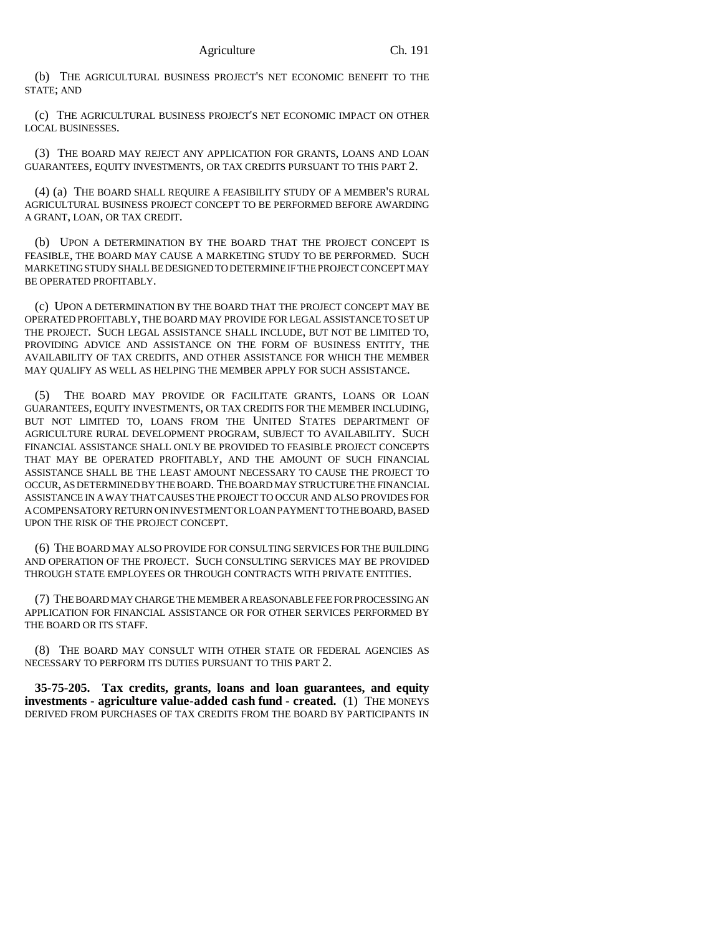(b) THE AGRICULTURAL BUSINESS PROJECT'S NET ECONOMIC BENEFIT TO THE STATE; AND

(c) THE AGRICULTURAL BUSINESS PROJECT'S NET ECONOMIC IMPACT ON OTHER LOCAL BUSINESSES.

(3) THE BOARD MAY REJECT ANY APPLICATION FOR GRANTS, LOANS AND LOAN GUARANTEES, EQUITY INVESTMENTS, OR TAX CREDITS PURSUANT TO THIS PART 2.

(4) (a) THE BOARD SHALL REQUIRE A FEASIBILITY STUDY OF A MEMBER'S RURAL AGRICULTURAL BUSINESS PROJECT CONCEPT TO BE PERFORMED BEFORE AWARDING A GRANT, LOAN, OR TAX CREDIT.

(b) UPON A DETERMINATION BY THE BOARD THAT THE PROJECT CONCEPT IS FEASIBLE, THE BOARD MAY CAUSE A MARKETING STUDY TO BE PERFORMED. SUCH MARKETING STUDY SHALL BE DESIGNED TO DETERMINE IF THE PROJECT CONCEPT MAY BE OPERATED PROFITABLY.

(c) UPON A DETERMINATION BY THE BOARD THAT THE PROJECT CONCEPT MAY BE OPERATED PROFITABLY, THE BOARD MAY PROVIDE FOR LEGAL ASSISTANCE TO SET UP THE PROJECT. SUCH LEGAL ASSISTANCE SHALL INCLUDE, BUT NOT BE LIMITED TO, PROVIDING ADVICE AND ASSISTANCE ON THE FORM OF BUSINESS ENTITY, THE AVAILABILITY OF TAX CREDITS, AND OTHER ASSISTANCE FOR WHICH THE MEMBER MAY QUALIFY AS WELL AS HELPING THE MEMBER APPLY FOR SUCH ASSISTANCE.

(5) THE BOARD MAY PROVIDE OR FACILITATE GRANTS, LOANS OR LOAN GUARANTEES, EQUITY INVESTMENTS, OR TAX CREDITS FOR THE MEMBER INCLUDING, BUT NOT LIMITED TO, LOANS FROM THE UNITED STATES DEPARTMENT OF AGRICULTURE RURAL DEVELOPMENT PROGRAM, SUBJECT TO AVAILABILITY. SUCH FINANCIAL ASSISTANCE SHALL ONLY BE PROVIDED TO FEASIBLE PROJECT CONCEPTS THAT MAY BE OPERATED PROFITABLY, AND THE AMOUNT OF SUCH FINANCIAL ASSISTANCE SHALL BE THE LEAST AMOUNT NECESSARY TO CAUSE THE PROJECT TO OCCUR, AS DETERMINED BY THE BOARD. THE BOARD MAY STRUCTURE THE FINANCIAL ASSISTANCE IN A WAY THAT CAUSES THE PROJECT TO OCCUR AND ALSO PROVIDES FOR A COMPENSATORY RETURN ON INVESTMENT OR LOAN PAYMENT TO THE BOARD, BASED UPON THE RISK OF THE PROJECT CONCEPT.

(6) THE BOARD MAY ALSO PROVIDE FOR CONSULTING SERVICES FOR THE BUILDING AND OPERATION OF THE PROJECT. SUCH CONSULTING SERVICES MAY BE PROVIDED THROUGH STATE EMPLOYEES OR THROUGH CONTRACTS WITH PRIVATE ENTITIES.

(7) THE BOARD MAY CHARGE THE MEMBER A REASONABLE FEE FOR PROCESSING AN APPLICATION FOR FINANCIAL ASSISTANCE OR FOR OTHER SERVICES PERFORMED BY THE BOARD OR ITS STAFF.

(8) THE BOARD MAY CONSULT WITH OTHER STATE OR FEDERAL AGENCIES AS NECESSARY TO PERFORM ITS DUTIES PURSUANT TO THIS PART 2.

**35-75-205. Tax credits, grants, loans and loan guarantees, and equity investments - agriculture value-added cash fund - created.** (1) THE MONEYS DERIVED FROM PURCHASES OF TAX CREDITS FROM THE BOARD BY PARTICIPANTS IN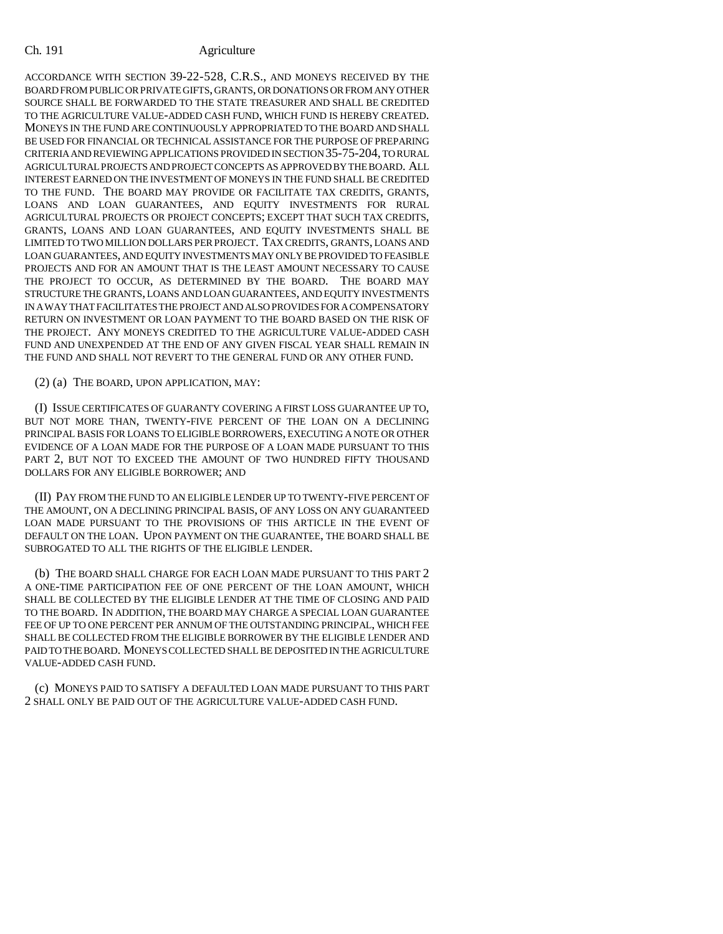ACCORDANCE WITH SECTION 39-22-528, C.R.S., AND MONEYS RECEIVED BY THE BOARD FROM PUBLIC OR PRIVATE GIFTS, GRANTS, OR DONATIONS OR FROM ANY OTHER SOURCE SHALL BE FORWARDED TO THE STATE TREASURER AND SHALL BE CREDITED TO THE AGRICULTURE VALUE-ADDED CASH FUND, WHICH FUND IS HEREBY CREATED. MONEYS IN THE FUND ARE CONTINUOUSLY APPROPRIATED TO THE BOARD AND SHALL BE USED FOR FINANCIAL OR TECHNICAL ASSISTANCE FOR THE PURPOSE OF PREPARING CRITERIA AND REVIEWING APPLICATIONS PROVIDED IN SECTION 35-75-204, TO RURAL AGRICULTURAL PROJECTS AND PROJECT CONCEPTS AS APPROVED BY THE BOARD. ALL INTEREST EARNED ON THE INVESTMENT OF MONEYS IN THE FUND SHALL BE CREDITED TO THE FUND. THE BOARD MAY PROVIDE OR FACILITATE TAX CREDITS, GRANTS, LOANS AND LOAN GUARANTEES, AND EQUITY INVESTMENTS FOR RURAL AGRICULTURAL PROJECTS OR PROJECT CONCEPTS; EXCEPT THAT SUCH TAX CREDITS, GRANTS, LOANS AND LOAN GUARANTEES, AND EQUITY INVESTMENTS SHALL BE LIMITED TO TWO MILLION DOLLARS PER PROJECT. TAX CREDITS, GRANTS, LOANS AND LOAN GUARANTEES, AND EQUITY INVESTMENTS MAY ONLY BE PROVIDED TO FEASIBLE PROJECTS AND FOR AN AMOUNT THAT IS THE LEAST AMOUNT NECESSARY TO CAUSE THE PROJECT TO OCCUR, AS DETERMINED BY THE BOARD. THE BOARD MAY STRUCTURE THE GRANTS, LOANS AND LOAN GUARANTEES, AND EQUITY INVESTMENTS IN A WAY THAT FACILITATES THE PROJECT AND ALSO PROVIDES FOR A COMPENSATORY RETURN ON INVESTMENT OR LOAN PAYMENT TO THE BOARD BASED ON THE RISK OF THE PROJECT. ANY MONEYS CREDITED TO THE AGRICULTURE VALUE-ADDED CASH FUND AND UNEXPENDED AT THE END OF ANY GIVEN FISCAL YEAR SHALL REMAIN IN THE FUND AND SHALL NOT REVERT TO THE GENERAL FUND OR ANY OTHER FUND.

(2) (a) THE BOARD, UPON APPLICATION, MAY:

(I) ISSUE CERTIFICATES OF GUARANTY COVERING A FIRST LOSS GUARANTEE UP TO, BUT NOT MORE THAN, TWENTY-FIVE PERCENT OF THE LOAN ON A DECLINING PRINCIPAL BASIS FOR LOANS TO ELIGIBLE BORROWERS, EXECUTING A NOTE OR OTHER EVIDENCE OF A LOAN MADE FOR THE PURPOSE OF A LOAN MADE PURSUANT TO THIS PART 2, BUT NOT TO EXCEED THE AMOUNT OF TWO HUNDRED FIFTY THOUSAND DOLLARS FOR ANY ELIGIBLE BORROWER; AND

(II) PAY FROM THE FUND TO AN ELIGIBLE LENDER UP TO TWENTY-FIVE PERCENT OF THE AMOUNT, ON A DECLINING PRINCIPAL BASIS, OF ANY LOSS ON ANY GUARANTEED LOAN MADE PURSUANT TO THE PROVISIONS OF THIS ARTICLE IN THE EVENT OF DEFAULT ON THE LOAN. UPON PAYMENT ON THE GUARANTEE, THE BOARD SHALL BE SUBROGATED TO ALL THE RIGHTS OF THE ELIGIBLE LENDER.

(b) THE BOARD SHALL CHARGE FOR EACH LOAN MADE PURSUANT TO THIS PART 2 A ONE-TIME PARTICIPATION FEE OF ONE PERCENT OF THE LOAN AMOUNT, WHICH SHALL BE COLLECTED BY THE ELIGIBLE LENDER AT THE TIME OF CLOSING AND PAID TO THE BOARD. IN ADDITION, THE BOARD MAY CHARGE A SPECIAL LOAN GUARANTEE FEE OF UP TO ONE PERCENT PER ANNUM OF THE OUTSTANDING PRINCIPAL, WHICH FEE SHALL BE COLLECTED FROM THE ELIGIBLE BORROWER BY THE ELIGIBLE LENDER AND PAID TO THE BOARD. MONEYS COLLECTED SHALL BE DEPOSITED IN THE AGRICULTURE VALUE-ADDED CASH FUND.

(c) MONEYS PAID TO SATISFY A DEFAULTED LOAN MADE PURSUANT TO THIS PART 2 SHALL ONLY BE PAID OUT OF THE AGRICULTURE VALUE-ADDED CASH FUND.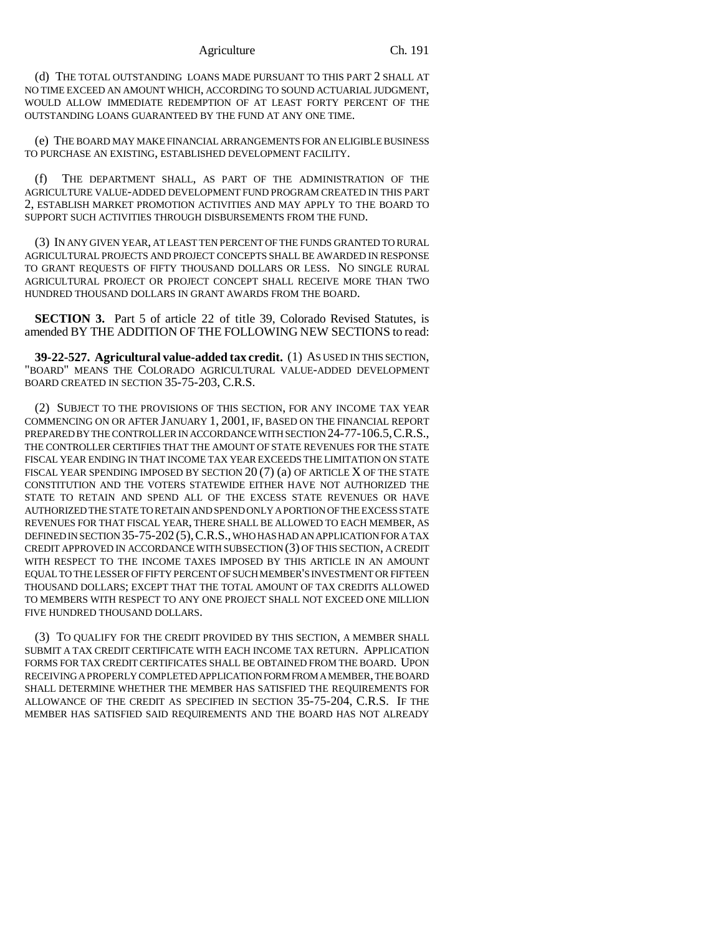### Agriculture Ch. 191

(d) THE TOTAL OUTSTANDING LOANS MADE PURSUANT TO THIS PART 2 SHALL AT NO TIME EXCEED AN AMOUNT WHICH, ACCORDING TO SOUND ACTUARIAL JUDGMENT, WOULD ALLOW IMMEDIATE REDEMPTION OF AT LEAST FORTY PERCENT OF THE OUTSTANDING LOANS GUARANTEED BY THE FUND AT ANY ONE TIME.

(e) THE BOARD MAY MAKE FINANCIAL ARRANGEMENTS FOR AN ELIGIBLE BUSINESS TO PURCHASE AN EXISTING, ESTABLISHED DEVELOPMENT FACILITY.

(f) THE DEPARTMENT SHALL, AS PART OF THE ADMINISTRATION OF THE AGRICULTURE VALUE-ADDED DEVELOPMENT FUND PROGRAM CREATED IN THIS PART 2, ESTABLISH MARKET PROMOTION ACTIVITIES AND MAY APPLY TO THE BOARD TO SUPPORT SUCH ACTIVITIES THROUGH DISBURSEMENTS FROM THE FUND.

(3) IN ANY GIVEN YEAR, AT LEAST TEN PERCENT OF THE FUNDS GRANTED TO RURAL AGRICULTURAL PROJECTS AND PROJECT CONCEPTS SHALL BE AWARDED IN RESPONSE TO GRANT REQUESTS OF FIFTY THOUSAND DOLLARS OR LESS. NO SINGLE RURAL AGRICULTURAL PROJECT OR PROJECT CONCEPT SHALL RECEIVE MORE THAN TWO HUNDRED THOUSAND DOLLARS IN GRANT AWARDS FROM THE BOARD.

**SECTION 3.** Part 5 of article 22 of title 39, Colorado Revised Statutes, is amended BY THE ADDITION OF THE FOLLOWING NEW SECTIONS to read:

**39-22-527. Agricultural value-added tax credit.** (1) AS USED IN THIS SECTION, "BOARD" MEANS THE COLORADO AGRICULTURAL VALUE-ADDED DEVELOPMENT BOARD CREATED IN SECTION 35-75-203, C.R.S.

(2) SUBJECT TO THE PROVISIONS OF THIS SECTION, FOR ANY INCOME TAX YEAR COMMENCING ON OR AFTER JANUARY 1, 2001, IF, BASED ON THE FINANCIAL REPORT PREPARED BY THE CONTROLLER IN ACCORDANCE WITH SECTION 24-77-106.5,C.R.S., THE CONTROLLER CERTIFIES THAT THE AMOUNT OF STATE REVENUES FOR THE STATE FISCAL YEAR ENDING IN THAT INCOME TAX YEAR EXCEEDS THE LIMITATION ON STATE FISCAL YEAR SPENDING IMPOSED BY SECTION 20 (7) (a) OF ARTICLE X OF THE STATE CONSTITUTION AND THE VOTERS STATEWIDE EITHER HAVE NOT AUTHORIZED THE STATE TO RETAIN AND SPEND ALL OF THE EXCESS STATE REVENUES OR HAVE AUTHORIZED THE STATE TO RETAIN AND SPEND ONLY A PORTION OF THE EXCESS STATE REVENUES FOR THAT FISCAL YEAR, THERE SHALL BE ALLOWED TO EACH MEMBER, AS DEFINED IN SECTION 35-75-202 (5),C.R.S., WHO HAS HAD AN APPLICATION FOR A TAX CREDIT APPROVED IN ACCORDANCE WITH SUBSECTION (3) OF THIS SECTION, A CREDIT WITH RESPECT TO THE INCOME TAXES IMPOSED BY THIS ARTICLE IN AN AMOUNT EQUAL TO THE LESSER OF FIFTY PERCENT OF SUCH MEMBER'S INVESTMENT OR FIFTEEN THOUSAND DOLLARS; EXCEPT THAT THE TOTAL AMOUNT OF TAX CREDITS ALLOWED TO MEMBERS WITH RESPECT TO ANY ONE PROJECT SHALL NOT EXCEED ONE MILLION FIVE HUNDRED THOUSAND DOLLARS.

(3) TO QUALIFY FOR THE CREDIT PROVIDED BY THIS SECTION, A MEMBER SHALL SUBMIT A TAX CREDIT CERTIFICATE WITH EACH INCOME TAX RETURN. APPLICATION FORMS FOR TAX CREDIT CERTIFICATES SHALL BE OBTAINED FROM THE BOARD. UPON RECEIVING A PROPERLY COMPLETED APPLICATION FORM FROM A MEMBER, THE BOARD SHALL DETERMINE WHETHER THE MEMBER HAS SATISFIED THE REQUIREMENTS FOR ALLOWANCE OF THE CREDIT AS SPECIFIED IN SECTION 35-75-204, C.R.S. IF THE MEMBER HAS SATISFIED SAID REQUIREMENTS AND THE BOARD HAS NOT ALREADY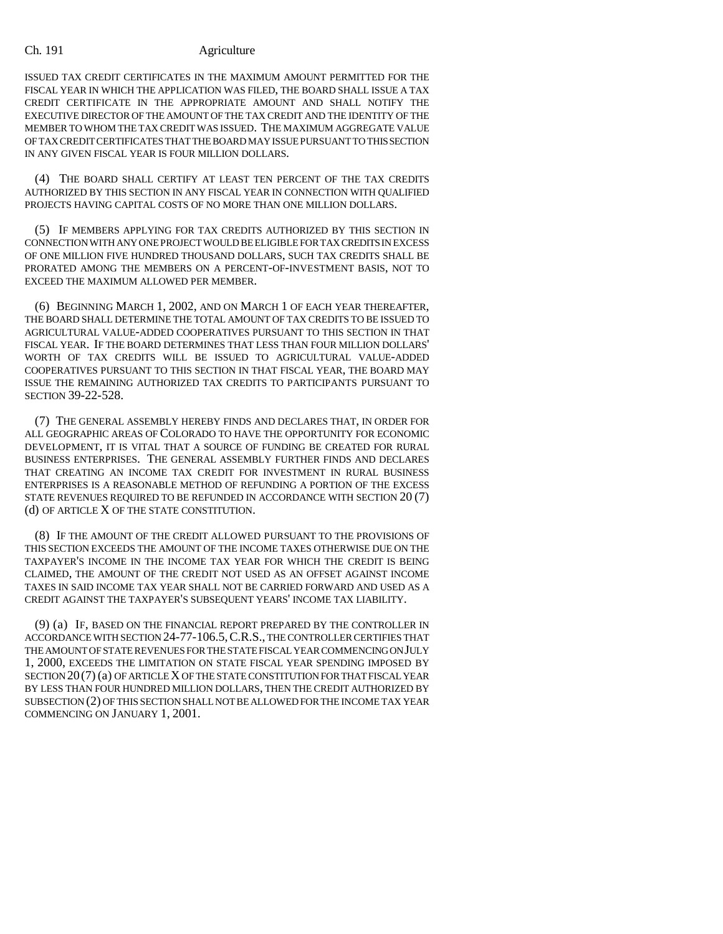ISSUED TAX CREDIT CERTIFICATES IN THE MAXIMUM AMOUNT PERMITTED FOR THE FISCAL YEAR IN WHICH THE APPLICATION WAS FILED, THE BOARD SHALL ISSUE A TAX CREDIT CERTIFICATE IN THE APPROPRIATE AMOUNT AND SHALL NOTIFY THE EXECUTIVE DIRECTOR OF THE AMOUNT OF THE TAX CREDIT AND THE IDENTITY OF THE MEMBER TO WHOM THE TAX CREDIT WAS ISSUED. THE MAXIMUM AGGREGATE VALUE OF TAX CREDIT CERTIFICATES THAT THE BOARD MAY ISSUE PURSUANT TO THIS SECTION IN ANY GIVEN FISCAL YEAR IS FOUR MILLION DOLLARS.

(4) THE BOARD SHALL CERTIFY AT LEAST TEN PERCENT OF THE TAX CREDITS AUTHORIZED BY THIS SECTION IN ANY FISCAL YEAR IN CONNECTION WITH QUALIFIED PROJECTS HAVING CAPITAL COSTS OF NO MORE THAN ONE MILLION DOLLARS.

(5) IF MEMBERS APPLYING FOR TAX CREDITS AUTHORIZED BY THIS SECTION IN CONNECTION WITH ANY ONE PROJECT WOULD BE ELIGIBLE FOR TAX CREDITS IN EXCESS OF ONE MILLION FIVE HUNDRED THOUSAND DOLLARS, SUCH TAX CREDITS SHALL BE PRORATED AMONG THE MEMBERS ON A PERCENT-OF-INVESTMENT BASIS, NOT TO EXCEED THE MAXIMUM ALLOWED PER MEMBER.

(6) BEGINNING MARCH 1, 2002, AND ON MARCH 1 OF EACH YEAR THEREAFTER, THE BOARD SHALL DETERMINE THE TOTAL AMOUNT OF TAX CREDITS TO BE ISSUED TO AGRICULTURAL VALUE-ADDED COOPERATIVES PURSUANT TO THIS SECTION IN THAT FISCAL YEAR. IF THE BOARD DETERMINES THAT LESS THAN FOUR MILLION DOLLARS' WORTH OF TAX CREDITS WILL BE ISSUED TO AGRICULTURAL VALUE-ADDED COOPERATIVES PURSUANT TO THIS SECTION IN THAT FISCAL YEAR, THE BOARD MAY ISSUE THE REMAINING AUTHORIZED TAX CREDITS TO PARTICIPANTS PURSUANT TO SECTION 39-22-528.

(7) THE GENERAL ASSEMBLY HEREBY FINDS AND DECLARES THAT, IN ORDER FOR ALL GEOGRAPHIC AREAS OF COLORADO TO HAVE THE OPPORTUNITY FOR ECONOMIC DEVELOPMENT, IT IS VITAL THAT A SOURCE OF FUNDING BE CREATED FOR RURAL BUSINESS ENTERPRISES. THE GENERAL ASSEMBLY FURTHER FINDS AND DECLARES THAT CREATING AN INCOME TAX CREDIT FOR INVESTMENT IN RURAL BUSINESS ENTERPRISES IS A REASONABLE METHOD OF REFUNDING A PORTION OF THE EXCESS STATE REVENUES REQUIRED TO BE REFUNDED IN ACCORDANCE WITH SECTION 20 (7) (d) OF ARTICLE X OF THE STATE CONSTITUTION.

(8) IF THE AMOUNT OF THE CREDIT ALLOWED PURSUANT TO THE PROVISIONS OF THIS SECTION EXCEEDS THE AMOUNT OF THE INCOME TAXES OTHERWISE DUE ON THE TAXPAYER'S INCOME IN THE INCOME TAX YEAR FOR WHICH THE CREDIT IS BEING CLAIMED, THE AMOUNT OF THE CREDIT NOT USED AS AN OFFSET AGAINST INCOME TAXES IN SAID INCOME TAX YEAR SHALL NOT BE CARRIED FORWARD AND USED AS A CREDIT AGAINST THE TAXPAYER'S SUBSEQUENT YEARS' INCOME TAX LIABILITY.

(9) (a) IF, BASED ON THE FINANCIAL REPORT PREPARED BY THE CONTROLLER IN ACCORDANCE WITH SECTION 24-77-106.5,C.R.S., THE CONTROLLER CERTIFIES THAT THE AMOUNT OF STATE REVENUES FOR THE STATE FISCAL YEAR COMMENCING ON JULY 1, 2000, EXCEEDS THE LIMITATION ON STATE FISCAL YEAR SPENDING IMPOSED BY SECTION 20(7) (a) OF ARTICLE X OF THE STATE CONSTITUTION FOR THAT FISCAL YEAR BY LESS THAN FOUR HUNDRED MILLION DOLLARS, THEN THE CREDIT AUTHORIZED BY SUBSECTION (2) OF THIS SECTION SHALL NOT BE ALLOWED FOR THE INCOME TAX YEAR COMMENCING ON JANUARY 1, 2001.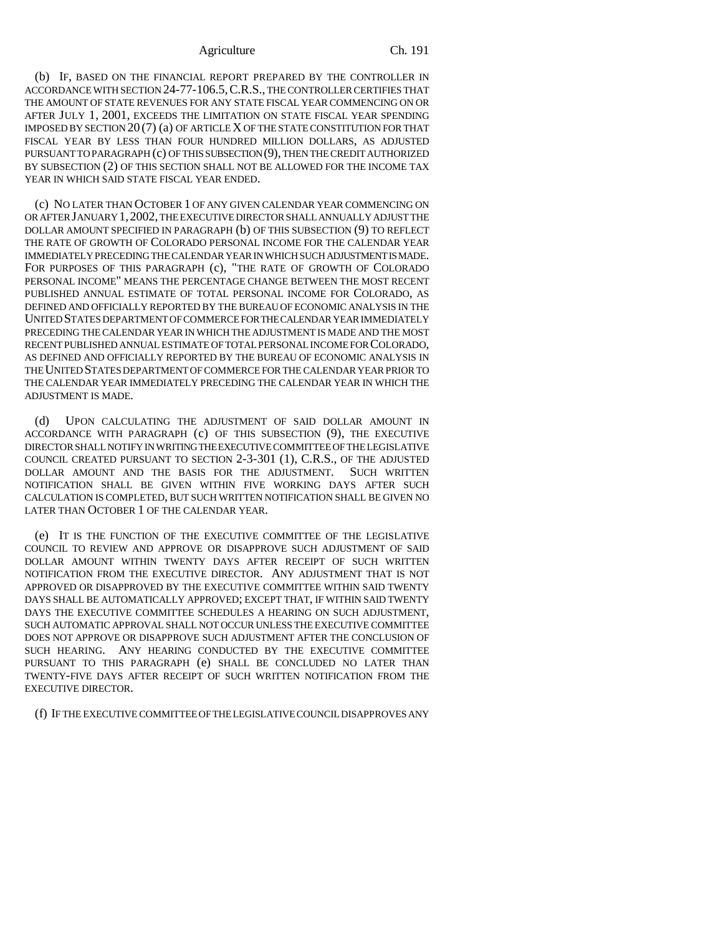### Agriculture Ch. 191

(b) IF, BASED ON THE FINANCIAL REPORT PREPARED BY THE CONTROLLER IN ACCORDANCE WITH SECTION 24-77-106.5,C.R.S., THE CONTROLLER CERTIFIES THAT THE AMOUNT OF STATE REVENUES FOR ANY STATE FISCAL YEAR COMMENCING ON OR AFTER JULY 1, 2001, EXCEEDS THE LIMITATION ON STATE FISCAL YEAR SPENDING IMPOSED BY SECTION 20 (7) (a) OF ARTICLE X OF THE STATE CONSTITUTION FOR THAT FISCAL YEAR BY LESS THAN FOUR HUNDRED MILLION DOLLARS, AS ADJUSTED PURSUANT TO PARAGRAPH (c) OF THIS SUBSECTION (9), THEN THE CREDIT AUTHORIZED BY SUBSECTION (2) OF THIS SECTION SHALL NOT BE ALLOWED FOR THE INCOME TAX YEAR IN WHICH SAID STATE FISCAL YEAR ENDED.

(c) NO LATER THAN OCTOBER 1 OF ANY GIVEN CALENDAR YEAR COMMENCING ON OR AFTER JANUARY 1,2002, THE EXECUTIVE DIRECTOR SHALL ANNUALLY ADJUST THE DOLLAR AMOUNT SPECIFIED IN PARAGRAPH (b) OF THIS SUBSECTION (9) TO REFLECT THE RATE OF GROWTH OF COLORADO PERSONAL INCOME FOR THE CALENDAR YEAR IMMEDIATELY PRECEDING THE CALENDAR YEAR IN WHICH SUCH ADJUSTMENT IS MADE. FOR PURPOSES OF THIS PARAGRAPH (c), "THE RATE OF GROWTH OF COLORADO PERSONAL INCOME" MEANS THE PERCENTAGE CHANGE BETWEEN THE MOST RECENT PUBLISHED ANNUAL ESTIMATE OF TOTAL PERSONAL INCOME FOR COLORADO, AS DEFINED AND OFFICIALLY REPORTED BY THE BUREAU OF ECONOMIC ANALYSIS IN THE UNITED STATES DEPARTMENT OF COMMERCE FOR THE CALENDAR YEAR IMMEDIATELY PRECEDING THE CALENDAR YEAR IN WHICH THE ADJUSTMENT IS MADE AND THE MOST RECENT PUBLISHED ANNUAL ESTIMATE OF TOTAL PERSONAL INCOME FOR COLORADO, AS DEFINED AND OFFICIALLY REPORTED BY THE BUREAU OF ECONOMIC ANALYSIS IN THE UNITED STATES DEPARTMENT OF COMMERCE FOR THE CALENDAR YEAR PRIOR TO THE CALENDAR YEAR IMMEDIATELY PRECEDING THE CALENDAR YEAR IN WHICH THE ADJUSTMENT IS MADE.

(d) UPON CALCULATING THE ADJUSTMENT OF SAID DOLLAR AMOUNT IN ACCORDANCE WITH PARAGRAPH (c) OF THIS SUBSECTION (9), THE EXECUTIVE DIRECTOR SHALL NOTIFY IN WRITING THE EXECUTIVE COMMITTEE OF THE LEGISLATIVE COUNCIL CREATED PURSUANT TO SECTION 2-3-301 (1), C.R.S., OF THE ADJUSTED DOLLAR AMOUNT AND THE BASIS FOR THE ADJUSTMENT. SUCH WRITTEN NOTIFICATION SHALL BE GIVEN WITHIN FIVE WORKING DAYS AFTER SUCH CALCULATION IS COMPLETED, BUT SUCH WRITTEN NOTIFICATION SHALL BE GIVEN NO LATER THAN OCTOBER 1 OF THE CALENDAR YEAR.

(e) IT IS THE FUNCTION OF THE EXECUTIVE COMMITTEE OF THE LEGISLATIVE COUNCIL TO REVIEW AND APPROVE OR DISAPPROVE SUCH ADJUSTMENT OF SAID DOLLAR AMOUNT WITHIN TWENTY DAYS AFTER RECEIPT OF SUCH WRITTEN NOTIFICATION FROM THE EXECUTIVE DIRECTOR. ANY ADJUSTMENT THAT IS NOT APPROVED OR DISAPPROVED BY THE EXECUTIVE COMMITTEE WITHIN SAID TWENTY DAYS SHALL BE AUTOMATICALLY APPROVED; EXCEPT THAT, IF WITHIN SAID TWENTY DAYS THE EXECUTIVE COMMITTEE SCHEDULES A HEARING ON SUCH ADJUSTMENT, SUCH AUTOMATIC APPROVAL SHALL NOT OCCUR UNLESS THE EXECUTIVE COMMITTEE DOES NOT APPROVE OR DISAPPROVE SUCH ADJUSTMENT AFTER THE CONCLUSION OF SUCH HEARING. ANY HEARING CONDUCTED BY THE EXECUTIVE COMMITTEE PURSUANT TO THIS PARAGRAPH (e) SHALL BE CONCLUDED NO LATER THAN TWENTY-FIVE DAYS AFTER RECEIPT OF SUCH WRITTEN NOTIFICATION FROM THE EXECUTIVE DIRECTOR.

(f) IF THE EXECUTIVE COMMITTEE OF THE LEGISLATIVE COUNCIL DISAPPROVES ANY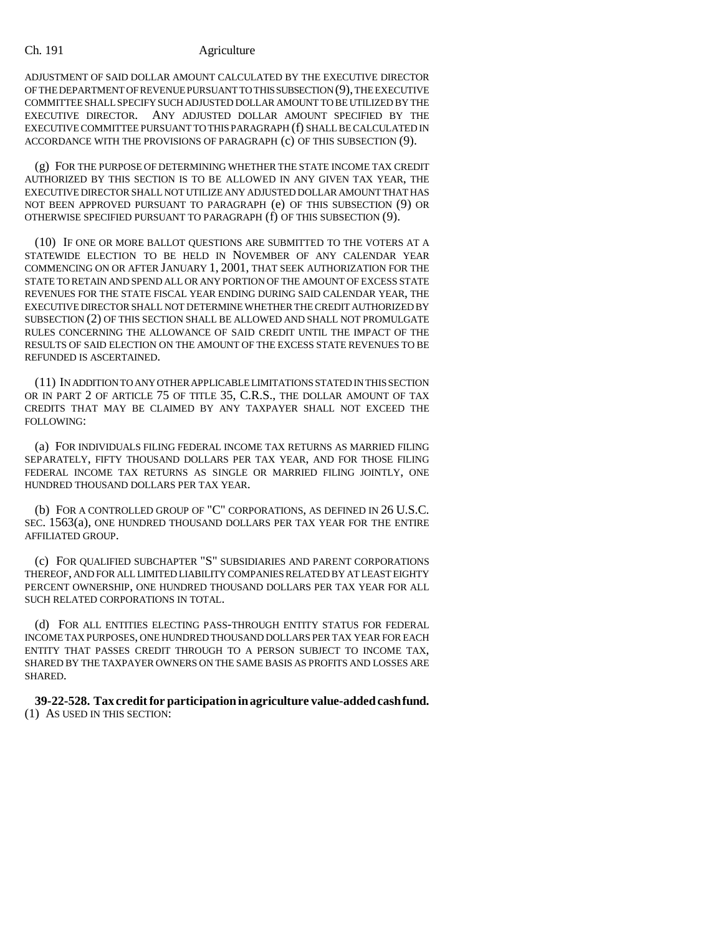ADJUSTMENT OF SAID DOLLAR AMOUNT CALCULATED BY THE EXECUTIVE DIRECTOR OF THE DEPARTMENT OF REVENUE PURSUANT TO THIS SUBSECTION (9), THE EXECUTIVE COMMITTEE SHALL SPECIFY SUCH ADJUSTED DOLLAR AMOUNT TO BE UTILIZED BY THE EXECUTIVE DIRECTOR. ANY ADJUSTED DOLLAR AMOUNT SPECIFIED BY THE EXECUTIVE COMMITTEE PURSUANT TO THIS PARAGRAPH (f) SHALL BE CALCULATED IN ACCORDANCE WITH THE PROVISIONS OF PARAGRAPH (c) OF THIS SUBSECTION (9).

(g) FOR THE PURPOSE OF DETERMINING WHETHER THE STATE INCOME TAX CREDIT AUTHORIZED BY THIS SECTION IS TO BE ALLOWED IN ANY GIVEN TAX YEAR, THE EXECUTIVE DIRECTOR SHALL NOT UTILIZE ANY ADJUSTED DOLLAR AMOUNT THAT HAS NOT BEEN APPROVED PURSUANT TO PARAGRAPH (e) OF THIS SUBSECTION (9) OR OTHERWISE SPECIFIED PURSUANT TO PARAGRAPH (f) OF THIS SUBSECTION (9).

(10) IF ONE OR MORE BALLOT QUESTIONS ARE SUBMITTED TO THE VOTERS AT A STATEWIDE ELECTION TO BE HELD IN NOVEMBER OF ANY CALENDAR YEAR COMMENCING ON OR AFTER JANUARY 1, 2001, THAT SEEK AUTHORIZATION FOR THE STATE TO RETAIN AND SPEND ALL OR ANY PORTION OF THE AMOUNT OF EXCESS STATE REVENUES FOR THE STATE FISCAL YEAR ENDING DURING SAID CALENDAR YEAR, THE EXECUTIVE DIRECTOR SHALL NOT DETERMINE WHETHER THE CREDIT AUTHORIZED BY SUBSECTION (2) OF THIS SECTION SHALL BE ALLOWED AND SHALL NOT PROMULGATE RULES CONCERNING THE ALLOWANCE OF SAID CREDIT UNTIL THE IMPACT OF THE RESULTS OF SAID ELECTION ON THE AMOUNT OF THE EXCESS STATE REVENUES TO BE REFUNDED IS ASCERTAINED.

(11) IN ADDITION TO ANY OTHER APPLICABLE LIMITATIONS STATED IN THIS SECTION OR IN PART 2 OF ARTICLE 75 OF TITLE 35, C.R.S., THE DOLLAR AMOUNT OF TAX CREDITS THAT MAY BE CLAIMED BY ANY TAXPAYER SHALL NOT EXCEED THE FOLLOWING:

(a) FOR INDIVIDUALS FILING FEDERAL INCOME TAX RETURNS AS MARRIED FILING SEPARATELY, FIFTY THOUSAND DOLLARS PER TAX YEAR, AND FOR THOSE FILING FEDERAL INCOME TAX RETURNS AS SINGLE OR MARRIED FILING JOINTLY, ONE HUNDRED THOUSAND DOLLARS PER TAX YEAR.

(b) FOR A CONTROLLED GROUP OF "C" CORPORATIONS, AS DEFINED IN 26 U.S.C. SEC. 1563(a), ONE HUNDRED THOUSAND DOLLARS PER TAX YEAR FOR THE ENTIRE AFFILIATED GROUP.

(c) FOR QUALIFIED SUBCHAPTER "S" SUBSIDIARIES AND PARENT CORPORATIONS THEREOF, AND FOR ALL LIMITED LIABILITY COMPANIES RELATED BY AT LEAST EIGHTY PERCENT OWNERSHIP, ONE HUNDRED THOUSAND DOLLARS PER TAX YEAR FOR ALL SUCH RELATED CORPORATIONS IN TOTAL.

(d) FOR ALL ENTITIES ELECTING PASS-THROUGH ENTITY STATUS FOR FEDERAL INCOME TAX PURPOSES, ONE HUNDRED THOUSAND DOLLARS PER TAX YEAR FOR EACH ENTITY THAT PASSES CREDIT THROUGH TO A PERSON SUBJECT TO INCOME TAX, SHARED BY THE TAXPAYER OWNERS ON THE SAME BASIS AS PROFITS AND LOSSES ARE SHARED.

**39-22-528. Tax credit for participation in agriculture value-added cash fund.** (1) AS USED IN THIS SECTION: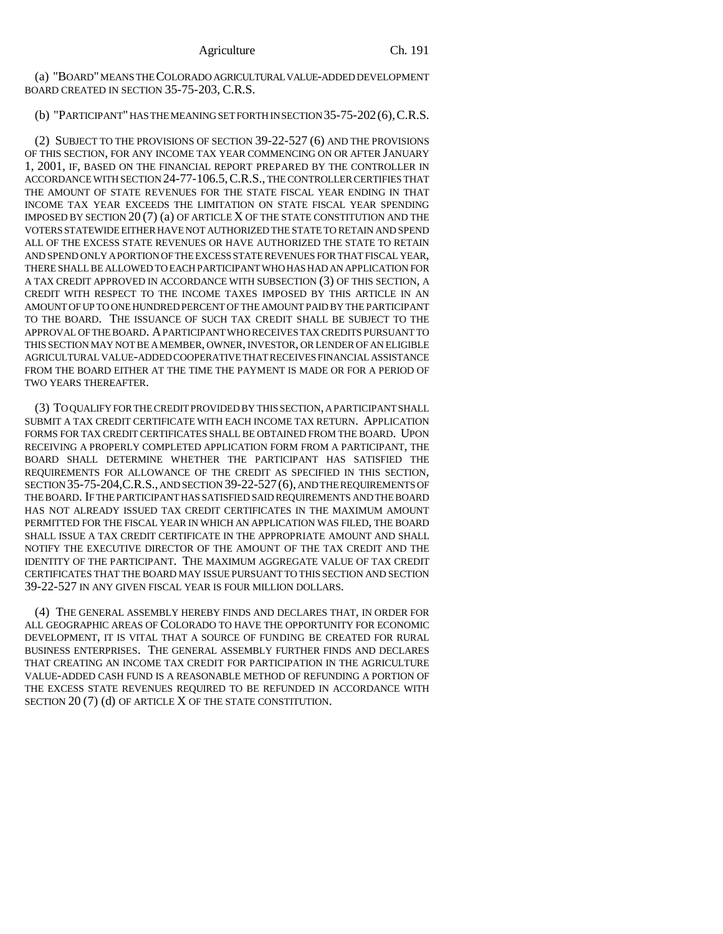(a) "BOARD" MEANS THE COLORADO AGRICULTURAL VALUE-ADDED DEVELOPMENT BOARD CREATED IN SECTION 35-75-203, C.R.S.

# (b) "PARTICIPANT" HAS THE MEANING SET FORTH IN SECTION 35-75-202(6),C.R.S.

(2) SUBJECT TO THE PROVISIONS OF SECTION 39-22-527 (6) AND THE PROVISIONS OF THIS SECTION, FOR ANY INCOME TAX YEAR COMMENCING ON OR AFTER JANUARY 1, 2001, IF, BASED ON THE FINANCIAL REPORT PREPARED BY THE CONTROLLER IN ACCORDANCE WITH SECTION 24-77-106.5,C.R.S., THE CONTROLLER CERTIFIES THAT THE AMOUNT OF STATE REVENUES FOR THE STATE FISCAL YEAR ENDING IN THAT INCOME TAX YEAR EXCEEDS THE LIMITATION ON STATE FISCAL YEAR SPENDING IMPOSED BY SECTION 20 (7) (a) OF ARTICLE X OF THE STATE CONSTITUTION AND THE VOTERS STATEWIDE EITHER HAVE NOT AUTHORIZED THE STATE TO RETAIN AND SPEND ALL OF THE EXCESS STATE REVENUES OR HAVE AUTHORIZED THE STATE TO RETAIN AND SPEND ONLY A PORTION OF THE EXCESS STATE REVENUES FOR THAT FISCAL YEAR, THERE SHALL BE ALLOWED TO EACH PARTICIPANT WHO HAS HAD AN APPLICATION FOR A TAX CREDIT APPROVED IN ACCORDANCE WITH SUBSECTION (3) OF THIS SECTION, A CREDIT WITH RESPECT TO THE INCOME TAXES IMPOSED BY THIS ARTICLE IN AN AMOUNT OF UP TO ONE HUNDRED PERCENT OF THE AMOUNT PAID BY THE PARTICIPANT TO THE BOARD. THE ISSUANCE OF SUCH TAX CREDIT SHALL BE SUBJECT TO THE APPROVAL OF THE BOARD. A PARTICIPANT WHO RECEIVES TAX CREDITS PURSUANT TO THIS SECTION MAY NOT BE A MEMBER, OWNER, INVESTOR, OR LENDER OF AN ELIGIBLE AGRICULTURAL VALUE-ADDED COOPERATIVE THAT RECEIVES FINANCIAL ASSISTANCE FROM THE BOARD EITHER AT THE TIME THE PAYMENT IS MADE OR FOR A PERIOD OF TWO YEARS THEREAFTER.

(3) TO QUALIFY FOR THE CREDIT PROVIDED BY THIS SECTION, A PARTICIPANT SHALL SUBMIT A TAX CREDIT CERTIFICATE WITH EACH INCOME TAX RETURN. APPLICATION FORMS FOR TAX CREDIT CERTIFICATES SHALL BE OBTAINED FROM THE BOARD. UPON RECEIVING A PROPERLY COMPLETED APPLICATION FORM FROM A PARTICIPANT, THE BOARD SHALL DETERMINE WHETHER THE PARTICIPANT HAS SATISFIED THE REQUIREMENTS FOR ALLOWANCE OF THE CREDIT AS SPECIFIED IN THIS SECTION, SECTION 35-75-204,C.R.S., AND SECTION 39-22-527(6), AND THE REQUIREMENTS OF THE BOARD. IF THE PARTICIPANT HAS SATISFIED SAID REQUIREMENTS AND THE BOARD HAS NOT ALREADY ISSUED TAX CREDIT CERTIFICATES IN THE MAXIMUM AMOUNT PERMITTED FOR THE FISCAL YEAR IN WHICH AN APPLICATION WAS FILED, THE BOARD SHALL ISSUE A TAX CREDIT CERTIFICATE IN THE APPROPRIATE AMOUNT AND SHALL NOTIFY THE EXECUTIVE DIRECTOR OF THE AMOUNT OF THE TAX CREDIT AND THE IDENTITY OF THE PARTICIPANT. THE MAXIMUM AGGREGATE VALUE OF TAX CREDIT CERTIFICATES THAT THE BOARD MAY ISSUE PURSUANT TO THIS SECTION AND SECTION 39-22-527 IN ANY GIVEN FISCAL YEAR IS FOUR MILLION DOLLARS.

(4) THE GENERAL ASSEMBLY HEREBY FINDS AND DECLARES THAT, IN ORDER FOR ALL GEOGRAPHIC AREAS OF COLORADO TO HAVE THE OPPORTUNITY FOR ECONOMIC DEVELOPMENT, IT IS VITAL THAT A SOURCE OF FUNDING BE CREATED FOR RURAL BUSINESS ENTERPRISES. THE GENERAL ASSEMBLY FURTHER FINDS AND DECLARES THAT CREATING AN INCOME TAX CREDIT FOR PARTICIPATION IN THE AGRICULTURE VALUE-ADDED CASH FUND IS A REASONABLE METHOD OF REFUNDING A PORTION OF THE EXCESS STATE REVENUES REQUIRED TO BE REFUNDED IN ACCORDANCE WITH SECTION 20 (7) (d) OF ARTICLE X OF THE STATE CONSTITUTION.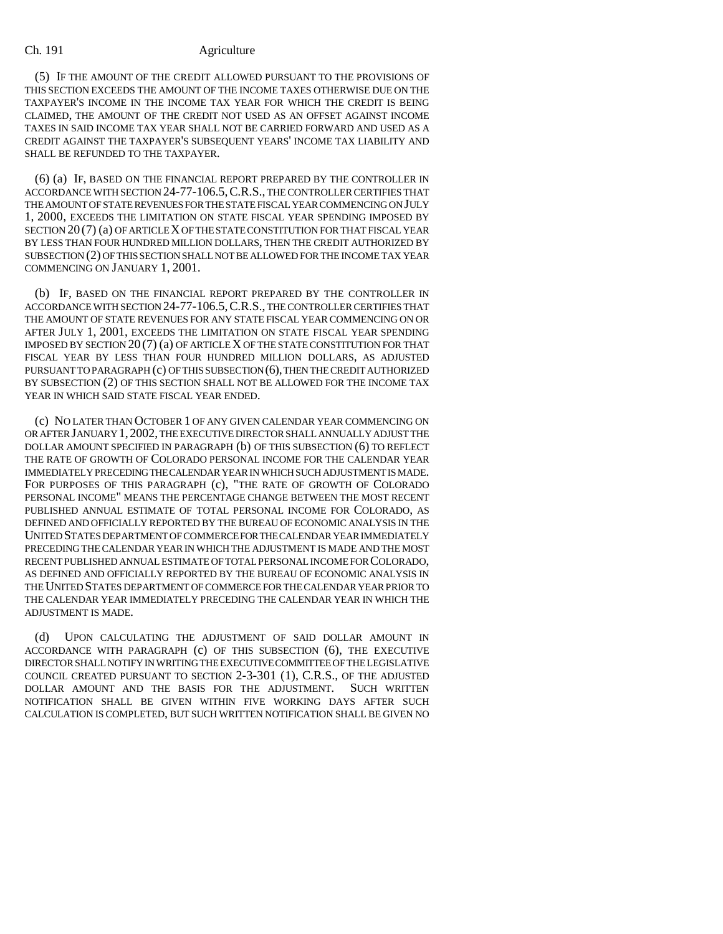(5) IF THE AMOUNT OF THE CREDIT ALLOWED PURSUANT TO THE PROVISIONS OF THIS SECTION EXCEEDS THE AMOUNT OF THE INCOME TAXES OTHERWISE DUE ON THE TAXPAYER'S INCOME IN THE INCOME TAX YEAR FOR WHICH THE CREDIT IS BEING CLAIMED, THE AMOUNT OF THE CREDIT NOT USED AS AN OFFSET AGAINST INCOME TAXES IN SAID INCOME TAX YEAR SHALL NOT BE CARRIED FORWARD AND USED AS A CREDIT AGAINST THE TAXPAYER'S SUBSEQUENT YEARS' INCOME TAX LIABILITY AND SHALL BE REFUNDED TO THE TAXPAYER.

(6) (a) IF, BASED ON THE FINANCIAL REPORT PREPARED BY THE CONTROLLER IN ACCORDANCE WITH SECTION 24-77-106.5,C.R.S., THE CONTROLLER CERTIFIES THAT THE AMOUNT OF STATE REVENUES FOR THE STATE FISCAL YEAR COMMENCING ON JULY 1, 2000, EXCEEDS THE LIMITATION ON STATE FISCAL YEAR SPENDING IMPOSED BY SECTION 20 (7) (a) OF ARTICLE X OF THE STATE CONSTITUTION FOR THAT FISCAL YEAR BY LESS THAN FOUR HUNDRED MILLION DOLLARS, THEN THE CREDIT AUTHORIZED BY SUBSECTION (2) OF THIS SECTION SHALL NOT BE ALLOWED FOR THE INCOME TAX YEAR COMMENCING ON JANUARY 1, 2001.

(b) IF, BASED ON THE FINANCIAL REPORT PREPARED BY THE CONTROLLER IN ACCORDANCE WITH SECTION 24-77-106.5,C.R.S., THE CONTROLLER CERTIFIES THAT THE AMOUNT OF STATE REVENUES FOR ANY STATE FISCAL YEAR COMMENCING ON OR AFTER JULY 1, 2001, EXCEEDS THE LIMITATION ON STATE FISCAL YEAR SPENDING IMPOSED BY SECTION 20 (7) (a) OF ARTICLE X OF THE STATE CONSTITUTION FOR THAT FISCAL YEAR BY LESS THAN FOUR HUNDRED MILLION DOLLARS, AS ADJUSTED PURSUANT TO PARAGRAPH (c) OF THIS SUBSECTION (6), THEN THE CREDIT AUTHORIZED BY SUBSECTION (2) OF THIS SECTION SHALL NOT BE ALLOWED FOR THE INCOME TAX YEAR IN WHICH SAID STATE FISCAL YEAR ENDED.

(c) NO LATER THAN OCTOBER 1 OF ANY GIVEN CALENDAR YEAR COMMENCING ON OR AFTER JANUARY 1,2002, THE EXECUTIVE DIRECTOR SHALL ANNUALLY ADJUST THE DOLLAR AMOUNT SPECIFIED IN PARAGRAPH (b) OF THIS SUBSECTION (6) TO REFLECT THE RATE OF GROWTH OF COLORADO PERSONAL INCOME FOR THE CALENDAR YEAR IMMEDIATELY PRECEDING THE CALENDAR YEAR IN WHICH SUCH ADJUSTMENT IS MADE. FOR PURPOSES OF THIS PARAGRAPH (c), "THE RATE OF GROWTH OF COLORADO PERSONAL INCOME" MEANS THE PERCENTAGE CHANGE BETWEEN THE MOST RECENT PUBLISHED ANNUAL ESTIMATE OF TOTAL PERSONAL INCOME FOR COLORADO, AS DEFINED AND OFFICIALLY REPORTED BY THE BUREAU OF ECONOMIC ANALYSIS IN THE UNITED STATES DEPARTMENT OF COMMERCE FOR THE CALENDAR YEAR IMMEDIATELY PRECEDING THE CALENDAR YEAR IN WHICH THE ADJUSTMENT IS MADE AND THE MOST RECENT PUBLISHED ANNUAL ESTIMATE OF TOTAL PERSONAL INCOME FOR COLORADO, AS DEFINED AND OFFICIALLY REPORTED BY THE BUREAU OF ECONOMIC ANALYSIS IN THE UNITED STATES DEPARTMENT OF COMMERCE FOR THE CALENDAR YEAR PRIOR TO THE CALENDAR YEAR IMMEDIATELY PRECEDING THE CALENDAR YEAR IN WHICH THE ADJUSTMENT IS MADE.

(d) UPON CALCULATING THE ADJUSTMENT OF SAID DOLLAR AMOUNT IN ACCORDANCE WITH PARAGRAPH (c) OF THIS SUBSECTION (6), THE EXECUTIVE DIRECTOR SHALL NOTIFY IN WRITING THE EXECUTIVE COMMITTEE OF THE LEGISLATIVE COUNCIL CREATED PURSUANT TO SECTION 2-3-301 (1), C.R.S., OF THE ADJUSTED DOLLAR AMOUNT AND THE BASIS FOR THE ADJUSTMENT. SUCH WRITTEN NOTIFICATION SHALL BE GIVEN WITHIN FIVE WORKING DAYS AFTER SUCH CALCULATION IS COMPLETED, BUT SUCH WRITTEN NOTIFICATION SHALL BE GIVEN NO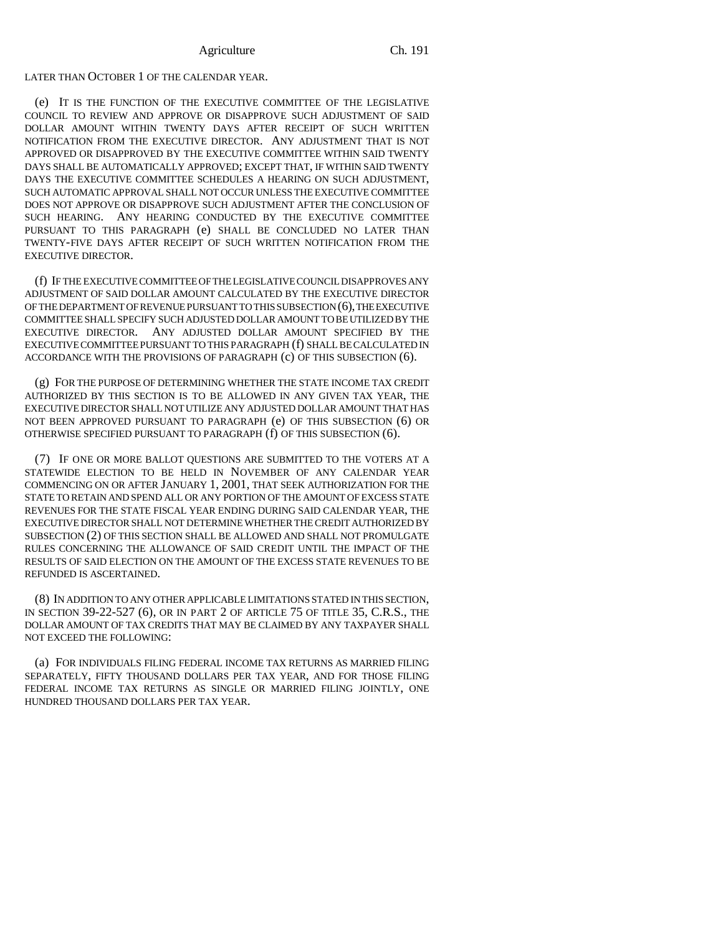### LATER THAN OCTOBER 1 OF THE CALENDAR YEAR.

(e) IT IS THE FUNCTION OF THE EXECUTIVE COMMITTEE OF THE LEGISLATIVE COUNCIL TO REVIEW AND APPROVE OR DISAPPROVE SUCH ADJUSTMENT OF SAID DOLLAR AMOUNT WITHIN TWENTY DAYS AFTER RECEIPT OF SUCH WRITTEN NOTIFICATION FROM THE EXECUTIVE DIRECTOR. ANY ADJUSTMENT THAT IS NOT APPROVED OR DISAPPROVED BY THE EXECUTIVE COMMITTEE WITHIN SAID TWENTY DAYS SHALL BE AUTOMATICALLY APPROVED; EXCEPT THAT, IF WITHIN SAID TWENTY DAYS THE EXECUTIVE COMMITTEE SCHEDULES A HEARING ON SUCH ADJUSTMENT, SUCH AUTOMATIC APPROVAL SHALL NOT OCCUR UNLESS THE EXECUTIVE COMMITTEE DOES NOT APPROVE OR DISAPPROVE SUCH ADJUSTMENT AFTER THE CONCLUSION OF SUCH HEARING. ANY HEARING CONDUCTED BY THE EXECUTIVE COMMITTEE PURSUANT TO THIS PARAGRAPH (e) SHALL BE CONCLUDED NO LATER THAN TWENTY-FIVE DAYS AFTER RECEIPT OF SUCH WRITTEN NOTIFICATION FROM THE EXECUTIVE DIRECTOR.

(f) IF THE EXECUTIVE COMMITTEE OF THE LEGISLATIVE COUNCIL DISAPPROVES ANY ADJUSTMENT OF SAID DOLLAR AMOUNT CALCULATED BY THE EXECUTIVE DIRECTOR OF THE DEPARTMENT OF REVENUE PURSUANT TO THIS SUBSECTION (6), THE EXECUTIVE COMMITTEE SHALL SPECIFY SUCH ADJUSTED DOLLAR AMOUNT TO BE UTILIZED BY THE EXECUTIVE DIRECTOR. ANY ADJUSTED DOLLAR AMOUNT SPECIFIED BY THE EXECUTIVE COMMITTEE PURSUANT TO THIS PARAGRAPH (f) SHALL BE CALCULATED IN ACCORDANCE WITH THE PROVISIONS OF PARAGRAPH (c) OF THIS SUBSECTION (6).

(g) FOR THE PURPOSE OF DETERMINING WHETHER THE STATE INCOME TAX CREDIT AUTHORIZED BY THIS SECTION IS TO BE ALLOWED IN ANY GIVEN TAX YEAR, THE EXECUTIVE DIRECTOR SHALL NOT UTILIZE ANY ADJUSTED DOLLAR AMOUNT THAT HAS NOT BEEN APPROVED PURSUANT TO PARAGRAPH (e) OF THIS SUBSECTION (6) OR OTHERWISE SPECIFIED PURSUANT TO PARAGRAPH (f) OF THIS SUBSECTION (6).

(7) IF ONE OR MORE BALLOT QUESTIONS ARE SUBMITTED TO THE VOTERS AT A STATEWIDE ELECTION TO BE HELD IN NOVEMBER OF ANY CALENDAR YEAR COMMENCING ON OR AFTER JANUARY 1, 2001, THAT SEEK AUTHORIZATION FOR THE STATE TO RETAIN AND SPEND ALL OR ANY PORTION OF THE AMOUNT OF EXCESS STATE REVENUES FOR THE STATE FISCAL YEAR ENDING DURING SAID CALENDAR YEAR, THE EXECUTIVE DIRECTOR SHALL NOT DETERMINE WHETHER THE CREDIT AUTHORIZED BY SUBSECTION (2) OF THIS SECTION SHALL BE ALLOWED AND SHALL NOT PROMULGATE RULES CONCERNING THE ALLOWANCE OF SAID CREDIT UNTIL THE IMPACT OF THE RESULTS OF SAID ELECTION ON THE AMOUNT OF THE EXCESS STATE REVENUES TO BE REFUNDED IS ASCERTAINED.

(8) IN ADDITION TO ANY OTHER APPLICABLE LIMITATIONS STATED IN THIS SECTION, IN SECTION 39-22-527 (6), OR IN PART 2 OF ARTICLE 75 OF TITLE 35, C.R.S., THE DOLLAR AMOUNT OF TAX CREDITS THAT MAY BE CLAIMED BY ANY TAXPAYER SHALL NOT EXCEED THE FOLLOWING:

(a) FOR INDIVIDUALS FILING FEDERAL INCOME TAX RETURNS AS MARRIED FILING SEPARATELY, FIFTY THOUSAND DOLLARS PER TAX YEAR, AND FOR THOSE FILING FEDERAL INCOME TAX RETURNS AS SINGLE OR MARRIED FILING JOINTLY, ONE HUNDRED THOUSAND DOLLARS PER TAX YEAR.